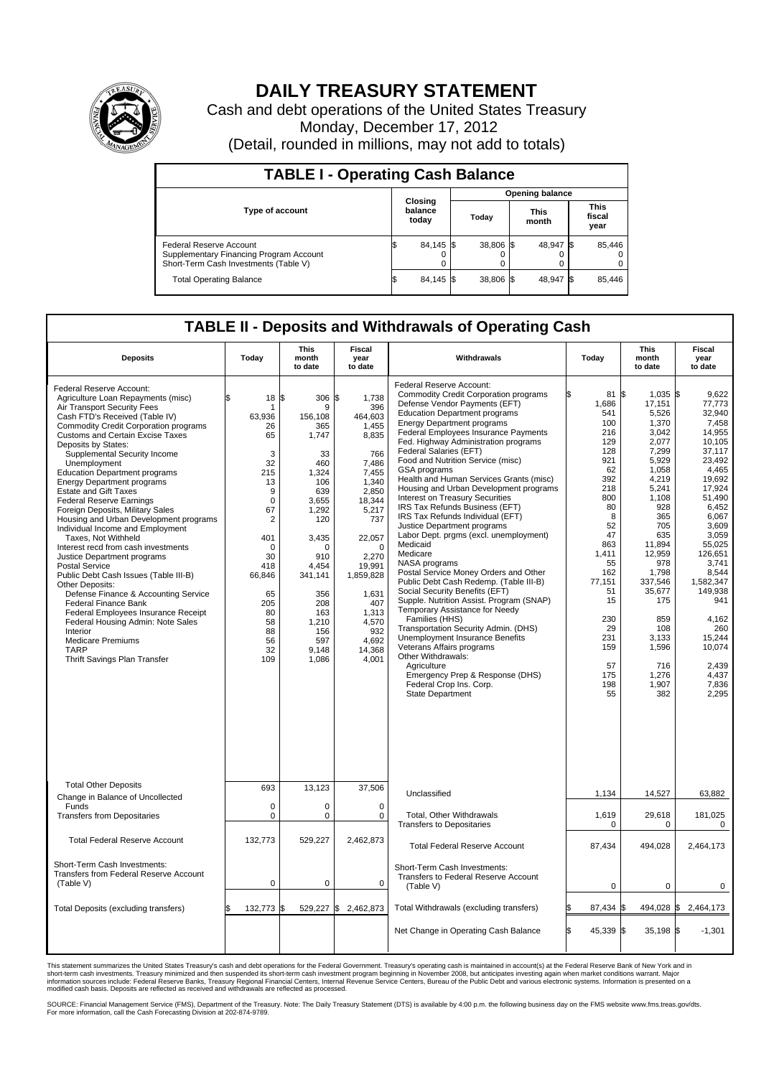

## **DAILY TREASURY STATEMENT**

Cash and debt operations of the United States Treasury Monday, December 17, 2012 (Detail, rounded in millions, may not add to totals)

| <b>TABLE I - Operating Cash Balance</b>                                                                     |                             |                        |                      |                               |  |  |  |  |  |  |  |
|-------------------------------------------------------------------------------------------------------------|-----------------------------|------------------------|----------------------|-------------------------------|--|--|--|--|--|--|--|
|                                                                                                             |                             | <b>Opening balance</b> |                      |                               |  |  |  |  |  |  |  |
| <b>Type of account</b>                                                                                      | Closing<br>balance<br>today | Today                  | <b>This</b><br>month | <b>This</b><br>fiscal<br>year |  |  |  |  |  |  |  |
| Federal Reserve Account<br>Supplementary Financing Program Account<br>Short-Term Cash Investments (Table V) | 84,145 \$<br>0              | 38,806 \$              | 48,947 \$            | 85,446<br>$^{(1)}$<br>0       |  |  |  |  |  |  |  |
| <b>Total Operating Balance</b>                                                                              | 84,145 \$                   | 38.806 \$              | 48,947 \$            | 85.446                        |  |  |  |  |  |  |  |

## **TABLE II - Deposits and Withdrawals of Operating Cash**

| <b>Deposits</b>                                                                                                                                                                                                                                                                                                                                                                                                                                                                                                                                                                                                                                                                                                                                                                                                                                                                                                                                                                                 | Todav                                                                                                                                                                                    | This<br>month<br>to date                                                                                                                                                                                     | Fiscal<br>vear<br>to date                                                                                                                                                                                                                       | Withdrawals                                                                                                                                                                                                                                                                                                                                                                                                                                                                                                                                                                                                                                                                                                                                                                                                                                                                                                                                                                                                                                                                                                                             | Todav                                                                                                                                                                                                              | This<br>month<br>to date                                                                                                                                                                                                                                                 | Fiscal<br>vear<br>to date                                                                                                                                                                                                                                                                           |  |  |  |  |  |  |
|-------------------------------------------------------------------------------------------------------------------------------------------------------------------------------------------------------------------------------------------------------------------------------------------------------------------------------------------------------------------------------------------------------------------------------------------------------------------------------------------------------------------------------------------------------------------------------------------------------------------------------------------------------------------------------------------------------------------------------------------------------------------------------------------------------------------------------------------------------------------------------------------------------------------------------------------------------------------------------------------------|------------------------------------------------------------------------------------------------------------------------------------------------------------------------------------------|--------------------------------------------------------------------------------------------------------------------------------------------------------------------------------------------------------------|-------------------------------------------------------------------------------------------------------------------------------------------------------------------------------------------------------------------------------------------------|-----------------------------------------------------------------------------------------------------------------------------------------------------------------------------------------------------------------------------------------------------------------------------------------------------------------------------------------------------------------------------------------------------------------------------------------------------------------------------------------------------------------------------------------------------------------------------------------------------------------------------------------------------------------------------------------------------------------------------------------------------------------------------------------------------------------------------------------------------------------------------------------------------------------------------------------------------------------------------------------------------------------------------------------------------------------------------------------------------------------------------------------|--------------------------------------------------------------------------------------------------------------------------------------------------------------------------------------------------------------------|--------------------------------------------------------------------------------------------------------------------------------------------------------------------------------------------------------------------------------------------------------------------------|-----------------------------------------------------------------------------------------------------------------------------------------------------------------------------------------------------------------------------------------------------------------------------------------------------|--|--|--|--|--|--|
| Federal Reserve Account:<br>Agriculture Loan Repayments (misc)<br>Air Transport Security Fees<br>Cash FTD's Received (Table IV)<br><b>Commodity Credit Corporation programs</b><br><b>Customs and Certain Excise Taxes</b><br>Deposits by States:<br>Supplemental Security Income<br>Unemployment<br><b>Education Department programs</b><br><b>Energy Department programs</b><br><b>Estate and Gift Taxes</b><br><b>Federal Reserve Earnings</b><br>Foreign Deposits, Military Sales<br>Housing and Urban Development programs<br>Individual Income and Employment<br>Taxes, Not Withheld<br>Interest recd from cash investments<br>Justice Department programs<br><b>Postal Service</b><br>Public Debt Cash Issues (Table III-B)<br>Other Deposits:<br>Defense Finance & Accounting Service<br><b>Federal Finance Bank</b><br>Federal Employees Insurance Receipt<br>Federal Housing Admin: Note Sales<br>Interior<br><b>Medicare Premiums</b><br><b>TARP</b><br>Thrift Savings Plan Transfer | \$.<br>18S<br>1<br>63,936<br>26<br>65<br>3<br>32<br>215<br>13<br>9<br>$\mathbf 0$<br>67<br>2<br>401<br>$\Omega$<br>30<br>418<br>66,846<br>65<br>205<br>80<br>58<br>88<br>56<br>32<br>109 | 306<br>9<br>156,108<br>365<br>1,747<br>33<br>460<br>1,324<br>106<br>639<br>3,655<br>1,292<br>120<br>3,435<br>$\cap$<br>910<br>4.454<br>341,141<br>356<br>208<br>163<br>1,210<br>156<br>597<br>9,148<br>1,086 | 1,738<br>£.<br>396<br>464,603<br>1,455<br>8,835<br>766<br>7,486<br>7,455<br>1,340<br>2,850<br>18,344<br>5,217<br>737<br>22,057<br>$\Omega$<br>2,270<br>19,991<br>1,859,828<br>1,631<br>407<br>1,313<br>4,570<br>932<br>4,692<br>14,368<br>4,001 | Federal Reserve Account:<br><b>Commodity Credit Corporation programs</b><br>Defense Vendor Payments (EFT)<br><b>Education Department programs</b><br><b>Energy Department programs</b><br>Federal Employees Insurance Payments<br>Fed. Highway Administration programs<br>Federal Salaries (EFT)<br>Food and Nutrition Service (misc)<br>GSA programs<br>Health and Human Services Grants (misc)<br>Housing and Urban Development programs<br>Interest on Treasury Securities<br>IRS Tax Refunds Business (EFT)<br>IRS Tax Refunds Individual (EFT)<br>Justice Department programs<br>Labor Dept. prgms (excl. unemployment)<br>Medicaid<br>Medicare<br>NASA programs<br>Postal Service Money Orders and Other<br>Public Debt Cash Redemp. (Table III-B)<br>Social Security Benefits (EFT)<br>Supple. Nutrition Assist. Program (SNAP)<br>Temporary Assistance for Needy<br>Families (HHS)<br>Transportation Security Admin. (DHS)<br><b>Unemployment Insurance Benefits</b><br>Veterans Affairs programs<br>Other Withdrawals:<br>Agriculture<br>Emergency Prep & Response (DHS)<br>Federal Crop Ins. Corp.<br><b>State Department</b> | 81 \$<br>1,686<br>541<br>100<br>216<br>129<br>128<br>921<br>62<br>392<br>218<br>800<br>80<br>8<br>52<br>47<br>863<br>1.411<br>55<br>162<br>77.151<br>51<br>15<br>230<br>29<br>231<br>159<br>57<br>175<br>198<br>55 | 1,035 \$<br>17,151<br>5,526<br>1,370<br>3,042<br>2.077<br>7,299<br>5,929<br>1,058<br>4,219<br>5,241<br>1.108<br>928<br>365<br>705<br>635<br>11,894<br>12.959<br>978<br>1,798<br>337.546<br>35,677<br>175<br>859<br>108<br>3.133<br>1,596<br>716<br>1,276<br>1,907<br>382 | 9,622<br>77,773<br>32.940<br>7,458<br>14,955<br>10.105<br>37,117<br>23.492<br>4.465<br>19,692<br>17,924<br>51.490<br>6,452<br>6,067<br>3,609<br>3,059<br>55,025<br>126.651<br>3,741<br>8,544<br>1.582.347<br>149,938<br>941<br>4,162<br>260<br>15.244<br>10,074<br>2,439<br>4,437<br>7,836<br>2,295 |  |  |  |  |  |  |
| <b>Total Other Deposits</b><br>Change in Balance of Uncollected                                                                                                                                                                                                                                                                                                                                                                                                                                                                                                                                                                                                                                                                                                                                                                                                                                                                                                                                 | 693                                                                                                                                                                                      | 13,123                                                                                                                                                                                                       | 37,506                                                                                                                                                                                                                                          | Unclassified                                                                                                                                                                                                                                                                                                                                                                                                                                                                                                                                                                                                                                                                                                                                                                                                                                                                                                                                                                                                                                                                                                                            | 1,134                                                                                                                                                                                                              | 14,527                                                                                                                                                                                                                                                                   | 63,882                                                                                                                                                                                                                                                                                              |  |  |  |  |  |  |
| Funds<br><b>Transfers from Depositaries</b>                                                                                                                                                                                                                                                                                                                                                                                                                                                                                                                                                                                                                                                                                                                                                                                                                                                                                                                                                     | $\mathbf 0$<br>0                                                                                                                                                                         | 0<br>$\mathbf 0$                                                                                                                                                                                             | $\Omega$<br>0                                                                                                                                                                                                                                   | Total, Other Withdrawals<br><b>Transfers to Depositaries</b>                                                                                                                                                                                                                                                                                                                                                                                                                                                                                                                                                                                                                                                                                                                                                                                                                                                                                                                                                                                                                                                                            | 1,619<br>$\pmb{0}$                                                                                                                                                                                                 | 29,618<br>$\mathbf 0$                                                                                                                                                                                                                                                    | 181,025<br>0                                                                                                                                                                                                                                                                                        |  |  |  |  |  |  |
| <b>Total Federal Reserve Account</b>                                                                                                                                                                                                                                                                                                                                                                                                                                                                                                                                                                                                                                                                                                                                                                                                                                                                                                                                                            | 132,773                                                                                                                                                                                  | 529,227                                                                                                                                                                                                      | 2,462,873                                                                                                                                                                                                                                       | <b>Total Federal Reserve Account</b>                                                                                                                                                                                                                                                                                                                                                                                                                                                                                                                                                                                                                                                                                                                                                                                                                                                                                                                                                                                                                                                                                                    | 87,434                                                                                                                                                                                                             | 494,028                                                                                                                                                                                                                                                                  | 2,464,173                                                                                                                                                                                                                                                                                           |  |  |  |  |  |  |
| Short-Term Cash Investments:<br><b>Transfers from Federal Reserve Account</b><br>(Table V)                                                                                                                                                                                                                                                                                                                                                                                                                                                                                                                                                                                                                                                                                                                                                                                                                                                                                                      | $\mathbf 0$                                                                                                                                                                              | $\mathbf{0}$                                                                                                                                                                                                 | $\mathbf 0$                                                                                                                                                                                                                                     | Short-Term Cash Investments:<br>Transfers to Federal Reserve Account<br>(Table V)                                                                                                                                                                                                                                                                                                                                                                                                                                                                                                                                                                                                                                                                                                                                                                                                                                                                                                                                                                                                                                                       | $\mathbf 0$                                                                                                                                                                                                        | 0                                                                                                                                                                                                                                                                        | 0                                                                                                                                                                                                                                                                                                   |  |  |  |  |  |  |
| Total Deposits (excluding transfers)                                                                                                                                                                                                                                                                                                                                                                                                                                                                                                                                                                                                                                                                                                                                                                                                                                                                                                                                                            | 132,773 \$                                                                                                                                                                               | 529,227 \$                                                                                                                                                                                                   | 2,462,873                                                                                                                                                                                                                                       | Total Withdrawals (excluding transfers)                                                                                                                                                                                                                                                                                                                                                                                                                                                                                                                                                                                                                                                                                                                                                                                                                                                                                                                                                                                                                                                                                                 | 87,434                                                                                                                                                                                                             | 494,028 \$                                                                                                                                                                                                                                                               | 2,464,173                                                                                                                                                                                                                                                                                           |  |  |  |  |  |  |
|                                                                                                                                                                                                                                                                                                                                                                                                                                                                                                                                                                                                                                                                                                                                                                                                                                                                                                                                                                                                 |                                                                                                                                                                                          |                                                                                                                                                                                                              |                                                                                                                                                                                                                                                 | Net Change in Operating Cash Balance                                                                                                                                                                                                                                                                                                                                                                                                                                                                                                                                                                                                                                                                                                                                                                                                                                                                                                                                                                                                                                                                                                    | 45,339 \$<br>ß.                                                                                                                                                                                                    | 35,198 \$                                                                                                                                                                                                                                                                | $-1,301$                                                                                                                                                                                                                                                                                            |  |  |  |  |  |  |

This statement summarizes the United States Treasury's cash and debt operations for the Federal Government. Treasury's operating cash is maintained in account(s) at the Federal Reserve Bank of New York and in<br>short-term ca

SOURCE: Financial Management Service (FMS), Department of the Treasury. Note: The Daily Treasury Statement (DTS) is available by 4:00 p.m. the following business day on the FMS website www.fms.treas.gov/dts.<br>For more infor